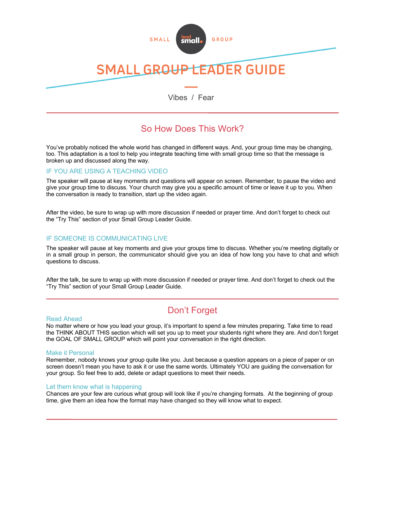

## *LEADER GUIDE* **SMALL GROL**

Vibes / Fear

# So How Does This Work?

You've probably noticed the whole world has changed in different ways. And, your group time may be changing, too. This adaptation is a tool to help you integrate teaching time with small group time so that the message is broken up and discussed along the way.

## IF YOU ARE USING A TEACHING VIDEO

The speaker will pause at key moments and questions will appear on screen. Remember, to pause the video and give your group time to discuss. Your church may give you a specific amount of time or leave it up to you. When the conversation is ready to transition, start up the video again.

After the video, be sure to wrap up with more discussion if needed or prayer time. And don't forget to check out the "Try This" section of your Small Group Leader Guide.

## IF SOMEONE IS COMMUNICATING LIVE

The speaker will pause at key moments and give your groups time to discuss. Whether you're meeting digitally or in a small group in person, the communicator should give you an idea of how long you have to chat and which questions to discuss.

After the talk, be sure to wrap up with more discussion if needed or prayer time. And don't forget to check out the "Try This" section of your Small Group Leader Guide.

# Don't Forget

#### Read Ahead

No matter where or how you lead your group, it's important to spend a few minutes preparing. Take time to read the THINK ABOUT THIS section which will set you up to meet your students right where they are. And don't forget the GOAL OF SMALL GROUP which will point your conversation in the right direction.

### Make it Personal

Remember, nobody knows your group quite like you. Just because a question appears on a piece of paper or on screen doesn't mean you have to ask it or use the same words. Ultimately YOU are guiding the conversation for your group. So feel free to add, delete or adapt questions to meet their needs.

### Let them know what is happening

Chances are your few are curious what group will look like if you're changing formats. At the beginning of group time, give them an idea how the format may have changed so they will know what to expect.